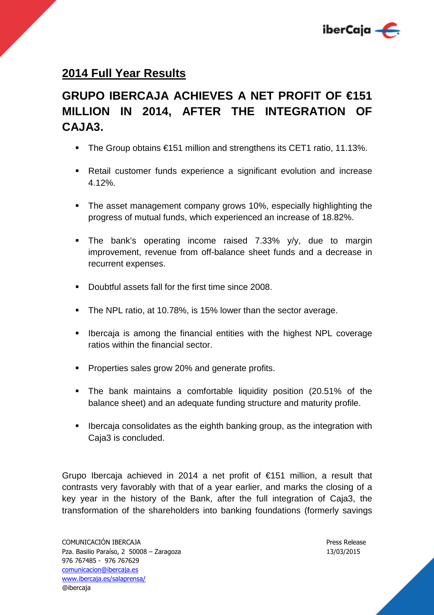

## **2014 Full Year Results**

# **GRUPO IBERCAJA ACHIEVES A NET PROFIT OF €151 MILLION IN 2014, AFTER THE INTEGRATION OF CAJA3.**

- The Group obtains €151 million and strengthens its CET1 ratio, 11.13%.
- Retail customer funds experience a significant evolution and increase 4.12%.
- The asset management company grows 10%, especially highlighting the progress of mutual funds, which experienced an increase of 18.82%.
- **The bank's operating income raised 7.33% y/y, due to margin** improvement, revenue from off-balance sheet funds and a decrease in recurrent expenses.
- Doubtful assets fall for the first time since 2008.
- The NPL ratio, at 10.78%, is 15% lower than the sector average.
- **IDERT IS 2008** Is among the financial entities with the highest NPL coverage ratios within the financial sector.
- **Properties sales grow 20% and generate profits.**
- The bank maintains a comfortable liquidity position (20.51% of the balance sheet) and an adequate funding structure and maturity profile.
- **IDED** Ibercaja consolidates as the eighth banking group, as the integration with Caja3 is concluded.

Grupo Ibercaja achieved in 2014 a net profit of €151 million, a result that contrasts very favorably with that of a year earlier, and marks the closing of a key year in the history of the Bank, after the full integration of Caja3, the transformation of the shareholders into banking foundations (formerly savings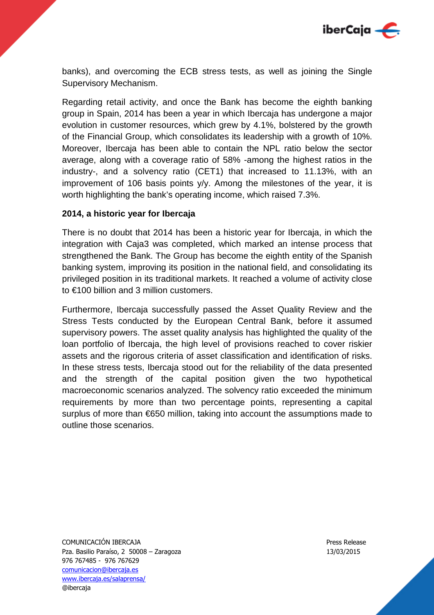

banks), and overcoming the ECB stress tests, as well as joining the Single Supervisory Mechanism.

Regarding retail activity, and once the Bank has become the eighth banking group in Spain, 2014 has been a year in which Ibercaja has undergone a major evolution in customer resources, which grew by 4.1%, bolstered by the growth of the Financial Group, which consolidates its leadership with a growth of 10%. Moreover, Ibercaja has been able to contain the NPL ratio below the sector average, along with a coverage ratio of 58% -among the highest ratios in the industry-, and a solvency ratio (CET1) that increased to 11.13%, with an improvement of 106 basis points y/y. Among the milestones of the year, it is worth highlighting the bank's operating income, which raised 7.3%.

#### **2014, a historic year for Ibercaja**

There is no doubt that 2014 has been a historic year for Ibercaja, in which the integration with Caja3 was completed, which marked an intense process that strengthened the Bank. The Group has become the eighth entity of the Spanish banking system, improving its position in the national field, and consolidating its privileged position in its traditional markets. It reached a volume of activity close to €100 billion and 3 million customers.

Furthermore, Ibercaja successfully passed the Asset Quality Review and the Stress Tests conducted by the European Central Bank, before it assumed supervisory powers. The asset quality analysis has highlighted the quality of the loan portfolio of Ibercaja, the high level of provisions reached to cover riskier assets and the rigorous criteria of asset classification and identification of risks. In these stress tests, Ibercaja stood out for the reliability of the data presented and the strength of the capital position given the two hypothetical macroeconomic scenarios analyzed. The solvency ratio exceeded the minimum requirements by more than two percentage points, representing a capital surplus of more than €650 million, taking into account the assumptions made to outline those scenarios.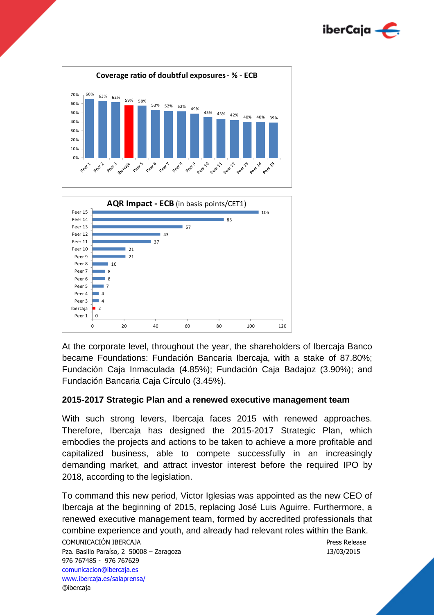





At the corporate level, throughout the year, the shareholders of Ibercaja Banco became Foundations: Fundación Bancaria Ibercaja, with a stake of 87.80%; Fundación Caja Inmaculada (4.85%); Fundación Caja Badajoz (3.90%); and Fundación Bancaria Caja Círculo (3.45%).

## **2015-2017 Strategic Plan and a renewed executive management team**

With such strong levers, Ibercaja faces 2015 with renewed approaches. Therefore, Ibercaja has designed the 2015-2017 Strategic Plan, which embodies the projects and actions to be taken to achieve a more profitable and capitalized business, able to compete successfully in an increasingly demanding market, and attract investor interest before the required IPO by 2018, according to the legislation.

To command this new period, Victor Iglesias was appointed as the new CEO of Ibercaja at the beginning of 2015, replacing José Luis Aguirre. Furthermore, a renewed executive management team, formed by accredited professionals that combine experience and youth, and already had relevant roles within the Bank.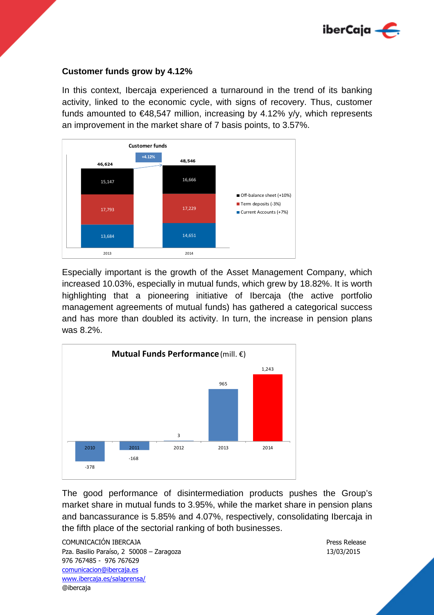

#### **Customer funds grow by 4.12%**

In this context, Ibercaja experienced a turnaround in the trend of its banking activity, linked to the economic cycle, with signs of recovery. Thus, customer funds amounted to  $\epsilon$ 48,547 million, increasing by 4.12% y/y, which represents an improvement in the market share of 7 basis points, to 3.57%.



Especially important is the growth of the Asset Management Company, which increased 10.03%, especially in mutual funds, which grew by 18.82%. It is worth highlighting that a pioneering initiative of Ibercaja (the active portfolio management agreements of mutual funds) has gathered a categorical success and has more than doubled its activity. In turn, the increase in pension plans was 8.2%.



The good performance of disintermediation products pushes the Group's market share in mutual funds to 3.95%, while the market share in pension plans and bancassurance is 5.85% and 4.07%, respectively, consolidating Ibercaja in the fifth place of the sectorial ranking of both businesses.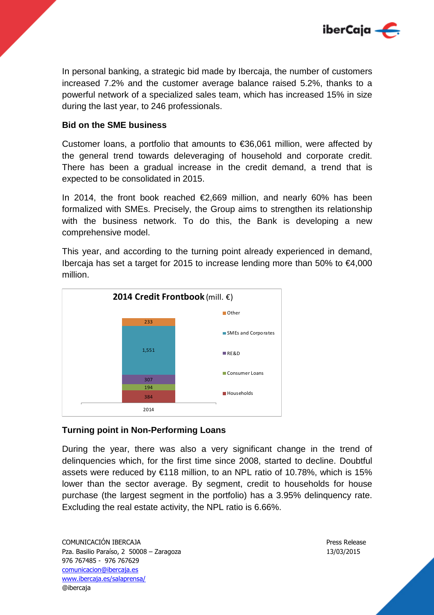

In personal banking, a strategic bid made by Ibercaja, the number of customers increased 7.2% and the customer average balance raised 5.2%, thanks to a powerful network of a specialized sales team, which has increased 15% in size during the last year, to 246 professionals.

#### **Bid on the SME business**

Customer loans, a portfolio that amounts to  $\epsilon$ 36,061 million, were affected by the general trend towards deleveraging of household and corporate credit. There has been a gradual increase in the credit demand, a trend that is expected to be consolidated in 2015.

In 2014, the front book reached  $\epsilon$ 2,669 million, and nearly 60% has been formalized with SMEs. Precisely, the Group aims to strengthen its relationship with the business network. To do this, the Bank is developing a new comprehensive model.

This year, and according to the turning point already experienced in demand, Ibercaja has set a target for 2015 to increase lending more than 50% to €4,000 million.



#### **Turning point in Non-Performing Loans**

During the year, there was also a very significant change in the trend of delinquencies which, for the first time since 2008, started to decline. Doubtful assets were reduced by €118 million, to an NPL ratio of 10.78%, which is 15% lower than the sector average. By segment, credit to households for house purchase (the largest segment in the portfolio) has a 3.95% delinquency rate. Excluding the real estate activity, the NPL ratio is 6.66%.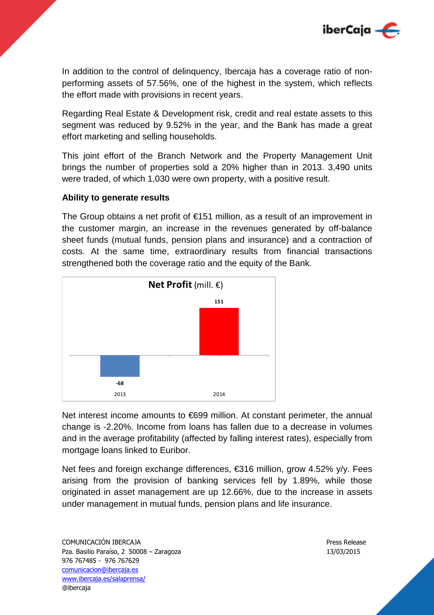

In addition to the control of delinquency, Ibercaja has a coverage ratio of nonperforming assets of 57.56%, one of the highest in the system, which reflects the effort made with provisions in recent years.

Regarding Real Estate & Development risk, credit and real estate assets to this segment was reduced by 9.52% in the year, and the Bank has made a great effort marketing and selling households.

This joint effort of the Branch Network and the Property Management Unit brings the number of properties sold a 20% higher than in 2013. 3,490 units were traded, of which 1,030 were own property, with a positive result.

## **Ability to generate results**

The Group obtains a net profit of  $\epsilon$ 151 million, as a result of an improvement in the customer margin, an increase in the revenues generated by off-balance sheet funds (mutual funds, pension plans and insurance) and a contraction of costs. At the same time, extraordinary results from financial transactions strengthened both the coverage ratio and the equity of the Bank.



Net interest income amounts to €699 million. At constant perimeter, the annual change is -2.20%. Income from loans has fallen due to a decrease in volumes and in the average profitability (affected by falling interest rates), especially from mortgage loans linked to Euribor.

Net fees and foreign exchange differences, €316 million, grow 4.52% y/y. Fees arising from the provision of banking services fell by 1.89%, while those originated in asset management are up 12.66%, due to the increase in assets under management in mutual funds, pension plans and life insurance.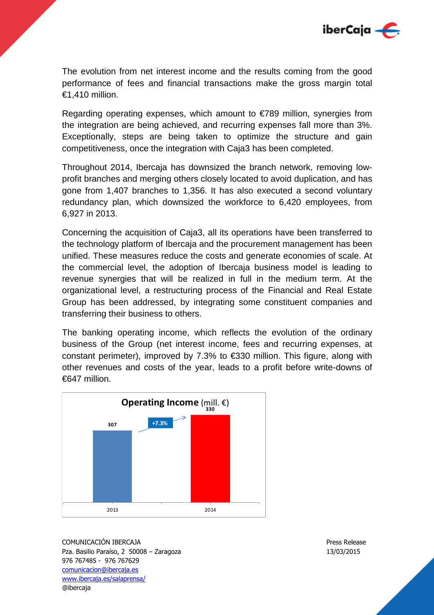

The evolution from net interest income and the results coming from the good performance of fees and financial transactions make the gross margin total €1,410 million.

Regarding operating expenses, which amount to €789 million, synergies from the integration are being achieved, and recurring expenses fall more than 3%. Exceptionally, steps are being taken to optimize the structure and gain competitiveness, once the integration with Caja3 has been completed.

Throughout 2014, Ibercaja has downsized the branch network, removing lowprofit branches and merging others closely located to avoid duplication, and has gone from 1,407 branches to 1,356. It has also executed a second voluntary redundancy plan, which downsized the workforce to 6,420 employees, from 6,927 in 2013.

Concerning the acquisition of Caja3, all its operations have been transferred to the technology platform of Ibercaja and the procurement management has been unified. These measures reduce the costs and generate economies of scale. At the commercial level, the adoption of Ibercaja business model is leading to revenue synergies that will be realized in full in the medium term. At the organizational level, a restructuring process of the Financial and Real Estate Group has been addressed, by integrating some constituent companies and transferring their business to others.

The banking operating income, which reflects the evolution of the ordinary business of the Group (net interest income, fees and recurring expenses, at constant perimeter), improved by 7.3% to €330 million. This figure, along with other revenues and costs of the year, leads to a profit before write-downs of €647 million.

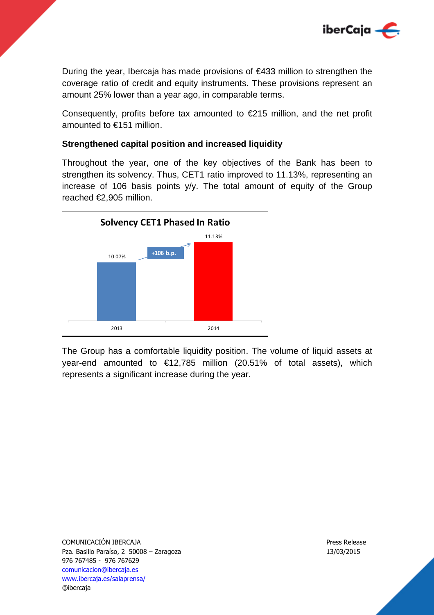

During the year, Ibercaja has made provisions of  $\epsilon$ 433 million to strengthen the coverage ratio of credit and equity instruments. These provisions represent an amount 25% lower than a year ago, in comparable terms.

Consequently, profits before tax amounted to  $\epsilon$ 215 million, and the net profit amounted to €151 million.

## **Strengthened capital position and increased liquidity**

Throughout the year, one of the key objectives of the Bank has been to strengthen its solvency. Thus, CET1 ratio improved to 11.13%, representing an increase of 106 basis points y/y. The total amount of equity of the Group reached €2,905 million.



The Group has a comfortable liquidity position. The volume of liquid assets at year-end amounted to  $\epsilon$ 12,785 million (20.51% of total assets), which represents a significant increase during the year.